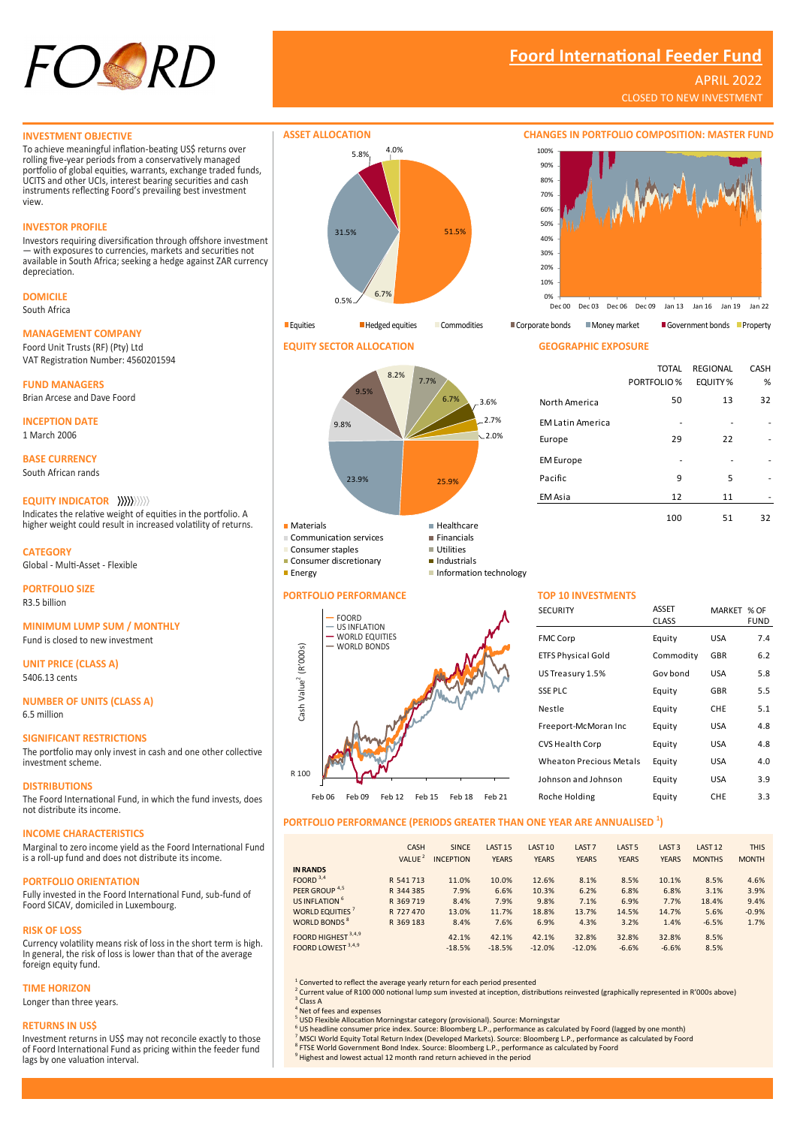

# **Foord International Feeder Fund**

Dec 00 Dec 03 Dec 06 Dec 09 Jan 13 Jan 16 Jan 19 Jan 22

TOTAL PORTFOLIO %

North America 50 13 32

Europe 29 22 -

Pacific 9 5 -EM Asia 12 11

REGIONAL EQUITY %

100 51 32

CASH %

# APRIL 2022

CLOSED TO NEW INVESTMENT

### **INVESTMENT OBJECTIVE**

To achieve meaningful inflation-beating US\$ returns over rolling five-year periods from a conservatively managed portfolio of global equities, warrants, exchange traded funds, UCITS and other UCIs, interest bearing securities and cash instruments reflecting Foord's prevailing best investment view.

# **INVESTOR PROFILE**

Investors requiring diversification through offshore investment — with exposures to currencies, markets and securities not available in South Africa; seeking a hedge against ZAR currency depreciation.

# **DOMICILE**

South Africa

# **MANAGEMENT COMPANY**

Foord Unit Trusts (RF) (Pty) Ltd VAT Registration Number: 4560201594

**FUND MANAGERS** Brian Arcese and Dave Foord

**INCEPTION DATE** 1 March 2006

**BASE CURRENCY** South African rands

# **EQUITY INDICATOR**

Indicates the relative weight of equities in the portfolio. A higher weight could result in increased volatility of returns.

**CATEGORY** Global - Multi-Asset - Flexible

**PORTFOLIO SIZE** R3.5 billion

# **MINIMUM LUMP SUM / MONTHLY**

Fund is closed to new investment

**UNIT PRICE (CLASS A)** 5406.13 cents

**NUMBER OF UNITS (CLASS A)** 6.5 million

# **SIGNIFICANT RESTRICTIONS**

The portfolio may only invest in cash and one other collective investment scheme.

### **DISTRIBUTIONS**

The Foord International Fund, in which the fund invests, does not distribute its income.

### **INCOME CHARACTERISTICS**

Marginal to zero income yield as the Foord International Fund is a roll-up fund and does not distribute its income.

### **PORTFOLIO ORIENTATION**

Fully invested in the Foord International Fund, sub-fund of Foord SICAV, domiciled in Luxembourg.

### **RISK OF LOSS**

Currency volatility means risk of loss in the short term is high. In general, the risk of loss is lower than that of the average foreign equity fund.

# **TIME HORIZON** Longer than three years.

### **RETURNS IN US\$**

Investment returns in US\$ may not reconcile exactly to those of Foord International Fund as pricing within the feeder fund lags by one valuation interval.



# **EQUITY SECTOR ALLOCATION GEOGRAPHIC EXPOSURE**

**Consumer discretionary** 

**PORTFOLIO PERFORMANCE —** FOORD **—** US INFLATION **—** WORLD EQUITIES **—** WORLD BONDS

Cash Value<sup>2</sup> (R'000s)

Cash Value<sup>2</sup> (R'000s)

R 100



# **TOP 10 INVESTMENTS**

EM Latin America

EM Europe

0% 10% 20% 30% 40% 50%  $60%$ 70% 80% 90% 100%

| <b>SECURITY</b>                | ASSET<br><b>CLASS</b> | MARKET     | $%$ OF<br><b>FUND</b> |
|--------------------------------|-----------------------|------------|-----------------------|
| <b>FMC Corp</b>                | Equity                | USA        | 7.4                   |
| <b>ETFS Physical Gold</b>      | Commodity             | <b>GBR</b> | 6.2                   |
| US Treasury 1.5%               | Gov bond              | USA        | 5.8                   |
| <b>SSE PLC</b>                 | Equity                | GBR        | 5.5                   |
| Nestle                         | Equity                | CHE        | 5.1                   |
| Freeport-McMoran Inc           | Equity                | USA        | 4.8                   |
| CVS Health Corp                | Equity                | USA        | 4.8                   |
| <b>Wheaton Precious Metals</b> | Equity                | USA        | 4.0                   |
| Johnson and Johnson            | Equity                | USA        | 3.9                   |
| Roche Holding                  | Equity                | CHE        | 3.3                   |
|                                |                       |            |                       |

# **PORTFOLIO PERFORMANCE (PERIODS GREATER THAN ONE YEAR ARE ANNUALISED <sup>1</sup> )**

|                                | CASH<br>VALUE <sup>2</sup> | <b>SINCE</b><br><b>INCEPTION</b> | LAST <sub>15</sub><br><b>YEARS</b> | LAST <sub>10</sub><br><b>YEARS</b> | LAST <sub>7</sub><br><b>YEARS</b> | LAST <sub>5</sub><br><b>YEARS</b> | LAST <sub>3</sub><br><b>YEARS</b> | LAST <sub>12</sub><br><b>MONTHS</b> | <b>THIS</b><br><b>MONTH</b> |
|--------------------------------|----------------------------|----------------------------------|------------------------------------|------------------------------------|-----------------------------------|-----------------------------------|-----------------------------------|-------------------------------------|-----------------------------|
| <b>IN RANDS</b>                |                            |                                  |                                    |                                    |                                   |                                   |                                   |                                     |                             |
| FOORD $3,4$                    | R 541 713                  | 11.0%                            | 10.0%                              | 12.6%                              | 8.1%                              | 8.5%                              | 10.1%                             | 8.5%                                | 4.6%                        |
| PEER GROUP <sup>4,5</sup>      | R 344 385                  | 7.9%                             | 6.6%                               | 10.3%                              | 6.2%                              | 6.8%                              | 6.8%                              | 3.1%                                | 3.9%                        |
| US INFLATION <sup>6</sup>      | R 369 719                  | 8.4%                             | 7.9%                               | 9.8%                               | 7.1%                              | 6.9%                              | 7.7%                              | 18.4%                               | 9.4%                        |
| WORLD EQUITIES <sup>7</sup>    | R 727 470                  | 13.0%                            | 11.7%                              | 18.8%                              | 13.7%                             | 14.5%                             | 14.7%                             | 5.6%                                | $-0.9%$                     |
| WORLD BONDS <sup>8</sup>       | R 369 183                  | 8.4%                             | 7.6%                               | 6.9%                               | 4.3%                              | 3.2%                              | 1.4%                              | $-6.5%$                             | 1.7%                        |
| FOORD HIGHEST <sup>3,4,9</sup> |                            | 42.1%                            | 42.1%                              | 42.1%                              | 32.8%                             | 32.8%                             | 32.8%                             | 8.5%                                |                             |
| FOORD LOWEST 3,4,9             |                            | $-18.5%$                         | $-18.5%$                           | $-12.0%$                           | $-12.0%$                          | $-6.6%$                           | $-6.6%$                           | 8.5%                                |                             |

Feb 06 Feb 09 Feb 12 Feb 15 Feb 18 Feb 21

<sup>1</sup> Converted to reflect the average yearly return for each period presented<br><sup>2</sup> Current value of R100 000 notional lump sum invested at inception, distributions reinvested (graphically represented in R'000s above) 3 Class A

Net of fees and expenses

5 USD Flexible Allocation Morningstar category (provisional). Source: Morningstar

- <sup>6</sup> US headline consumer price index. Source: Bloomberg L.P., performance as calculated by Foord (lagged by one month)
- <sup>7</sup> MSCI World Equity Total Return Index (Developed Markets). Source: Bloomberg L.P., performance as calculated by Foord<br><sup>8</sup> FTSE World Government Bond Index. Source: Bloomberg L.P., performance as calculated by Foord

<sup>9</sup> Highest and lowest actual 12 month rand return achieved in the period

|           | $\mathbf{T}$ |
|-----------|--------------|
| $\Lambda$ | $\mathsf{s}$ |

| 8.2%<br>9.5%<br>% | 7.7%<br>6.7%<br>3.6%<br>.2.7%<br>$\sim$ 2.0% |
|-------------------|----------------------------------------------|
| 23.9%             | 25.9%                                        |

|   | $\blacksquare$ Healthcare |
|---|---------------------------|
| S | $\blacksquare$ Financials |
|   | $\blacksquare$ Utilities  |

Energy **Information technology** 

| <b>Materials</b>       | ■ Healthcare              |
|------------------------|---------------------------|
| Communication services | $\blacksquare$ Financials |
| Consumer staples       | Utilities                 |

| - I III 111 113            |
|----------------------------|
| $\blacksquare$ Utilities   |
| $\blacksquare$ Industrials |

| Information technolog |  |  |
|-----------------------|--|--|
|                       |  |  |